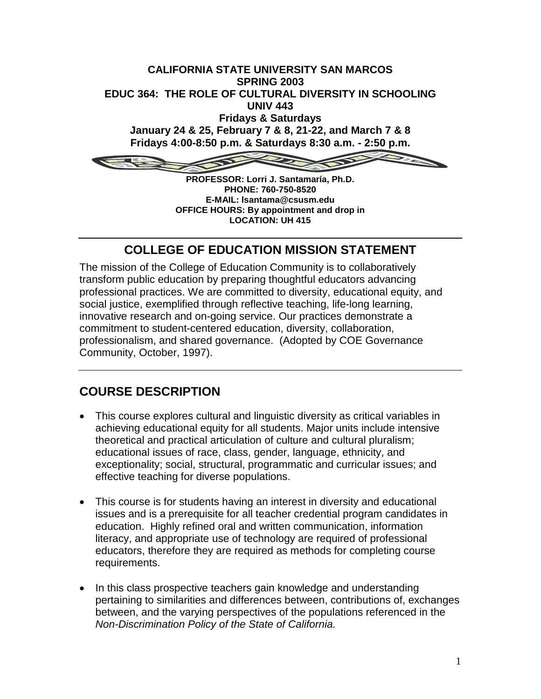

**PROFESSOR: Lorri J. Santamaría, Ph.D. PHONE: 760-750-8520 E-MAIL: lsantama@csusm.edu OFFICE HOURS: By appointment and drop in LOCATION: UH 415**

# **COLLEGE OF EDUCATION MISSION STATEMENT**

The mission of the College of Education Community is to collaboratively transform public education by preparing thoughtful educators advancing professional practices. We are committed to diversity, educational equity, and social justice, exemplified through reflective teaching, life-long learning, innovative research and on-going service. Our practices demonstrate a commitment to student-centered education, diversity, collaboration, professionalism, and shared governance. (Adopted by COE Governance Community, October, 1997).

# **COURSE DESCRIPTION**

- This course explores cultural and linguistic diversity as critical variables in achieving educational equity for all students. Major units include intensive theoretical and practical articulation of culture and cultural pluralism; educational issues of race, class, gender, language, ethnicity, and exceptionality; social, structural, programmatic and curricular issues; and effective teaching for diverse populations.
- This course is for students having an interest in diversity and educational issues and is a prerequisite for all teacher credential program candidates in education. Highly refined oral and written communication, information literacy, and appropriate use of technology are required of professional educators, therefore they are required as methods for completing course requirements.
- In this class prospective teachers gain knowledge and understanding pertaining to similarities and differences between, contributions of, exchanges between, and the varying perspectives of the populations referenced in the *Non-Discrimination Policy of the State of California.*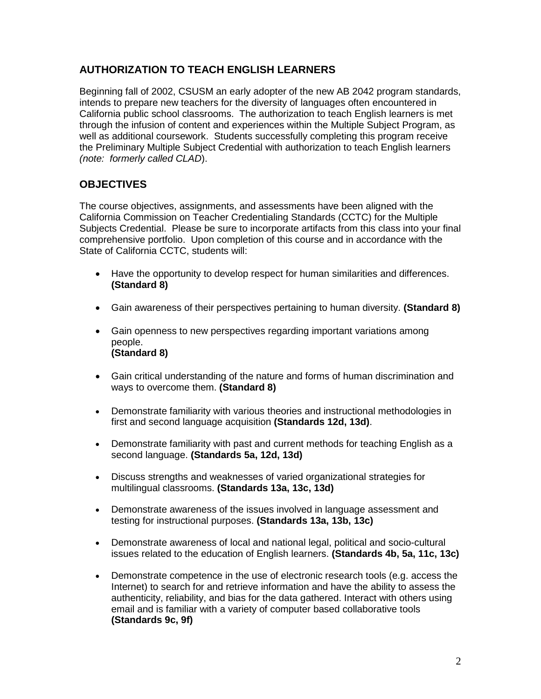## **AUTHORIZATION TO TEACH ENGLISH LEARNERS**

Beginning fall of 2002, CSUSM an early adopter of the new AB 2042 program standards, intends to prepare new teachers for the diversity of languages often encountered in California public school classrooms. The authorization to teach English learners is met through the infusion of content and experiences within the Multiple Subject Program, as well as additional coursework. Students successfully completing this program receive the Preliminary Multiple Subject Credential with authorization to teach English learners *(note: formerly called CLAD*).

## **OBJECTIVES**

The course objectives, assignments, and assessments have been aligned with the California Commission on Teacher Credentialing Standards (CCTC) for the Multiple Subjects Credential. Please be sure to incorporate artifacts from this class into your final comprehensive portfolio. Upon completion of this course and in accordance with the State of California CCTC, students will:

- Have the opportunity to develop respect for human similarities and differences. **(Standard 8)**
- Gain awareness of their perspectives pertaining to human diversity. **(Standard 8)**
- Gain openness to new perspectives regarding important variations among people. **(Standard 8)**
- Gain critical understanding of the nature and forms of human discrimination and ways to overcome them. **(Standard 8)**
- Demonstrate familiarity with various theories and instructional methodologies in first and second language acquisition **(Standards 12d, 13d)**.
- Demonstrate familiarity with past and current methods for teaching English as a second language. **(Standards 5a, 12d, 13d)**
- Discuss strengths and weaknesses of varied organizational strategies for multilingual classrooms. **(Standards 13a, 13c, 13d)**
- Demonstrate awareness of the issues involved in language assessment and testing for instructional purposes. **(Standards 13a, 13b, 13c)**
- Demonstrate awareness of local and national legal, political and socio-cultural issues related to the education of English learners. **(Standards 4b, 5a, 11c, 13c)**
- Demonstrate competence in the use of electronic research tools (e.g. access the Internet) to search for and retrieve information and have the ability to assess the authenticity, reliability, and bias for the data gathered. Interact with others using email and is familiar with a variety of computer based collaborative tools **(Standards 9c, 9f)**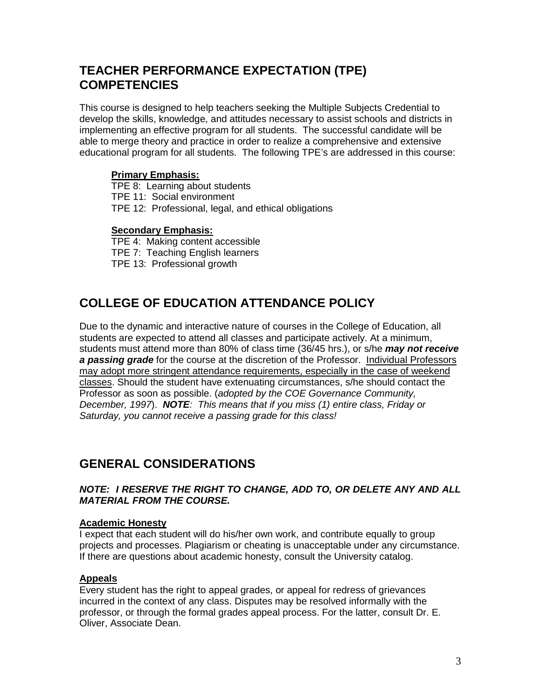# **TEACHER PERFORMANCE EXPECTATION (TPE) COMPETENCIES**

This course is designed to help teachers seeking the Multiple Subjects Credential to develop the skills, knowledge, and attitudes necessary to assist schools and districts in implementing an effective program for all students. The successful candidate will be able to merge theory and practice in order to realize a comprehensive and extensive educational program for all students. The following TPE's are addressed in this course:

## **Primary Emphasis:**

TPE 8: Learning about students TPE 11: Social environment TPE 12: Professional, legal, and ethical obligations

## **Secondary Emphasis:**

TPE 4: Making content accessible TPE 7: Teaching English learners TPE 13: Professional growth

# **COLLEGE OF EDUCATION ATTENDANCE POLICY**

Due to the dynamic and interactive nature of courses in the College of Education, all students are expected to attend all classes and participate actively. At a minimum, students must attend more than 80% of class time (36/45 hrs.), or s/he *may not receive a passing grade* for the course at the discretion of the Professor. Individual Professors may adopt more stringent attendance requirements, especially in the case of weekend classes. Should the student have extenuating circumstances, s/he should contact the Professor as soon as possible. (*adopted by the COE Governance Community, December, 1997*). *NOTE: This means that if you miss (1) entire class, Friday or Saturday, you cannot receive a passing grade for this class!*

# **GENERAL CONSIDERATIONS**

## *NOTE: I RESERVE THE RIGHT TO CHANGE, ADD TO, OR DELETE ANY AND ALL MATERIAL FROM THE COURSE.*

### **Academic Honesty**

I expect that each student will do his/her own work, and contribute equally to group projects and processes. Plagiarism or cheating is unacceptable under any circumstance. If there are questions about academic honesty, consult the University catalog.

### **Appeals**

Every student has the right to appeal grades, or appeal for redress of grievances incurred in the context of any class. Disputes may be resolved informally with the professor, or through the formal grades appeal process. For the latter, consult Dr. E. Oliver, Associate Dean.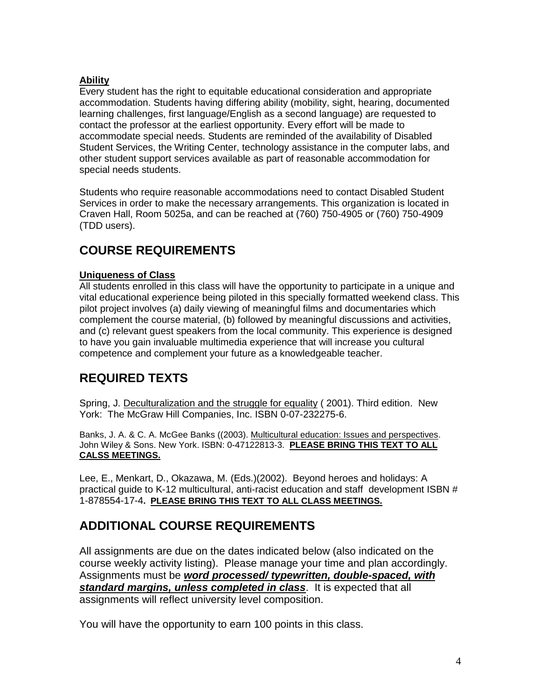## **Ability**

Every student has the right to equitable educational consideration and appropriate accommodation. Students having differing ability (mobility, sight, hearing, documented learning challenges, first language/English as a second language) are requested to contact the professor at the earliest opportunity. Every effort will be made to accommodate special needs. Students are reminded of the availability of Disabled Student Services, the Writing Center, technology assistance in the computer labs, and other student support services available as part of reasonable accommodation for special needs students.

Students who require reasonable accommodations need to contact Disabled Student Services in order to make the necessary arrangements. This organization is located in Craven Hall, Room 5025a, and can be reached at (760) 750-4905 or (760) 750-4909 (TDD users).

# **COURSE REQUIREMENTS**

## **Uniqueness of Class**

All students enrolled in this class will have the opportunity to participate in a unique and vital educational experience being piloted in this specially formatted weekend class. This pilot project involves (a) daily viewing of meaningful films and documentaries which complement the course material, (b) followed by meaningful discussions and activities, and (c) relevant guest speakers from the local community. This experience is designed to have you gain invaluable multimedia experience that will increase you cultural competence and complement your future as a knowledgeable teacher.

# **REQUIRED TEXTS**

Spring, J. Deculturalization and the struggle for equality ( 2001). Third edition. New York: The McGraw Hill Companies, Inc. ISBN 0-07-232275-6.

Banks, J. A. & C. A. McGee Banks ((2003). Multicultural education: Issues and perspectives. John Wiley & Sons. New York. ISBN: 0-47122813-3. **PLEASE BRING THIS TEXT TO ALL CALSS MEETINGS.**

Lee, E., Menkart, D., Okazawa, M. (Eds.)(2002). Beyond heroes and holidays: A practical guide to K-12 multicultural, anti-racist education and staff development ISBN # 1-878554-17-4**. PLEASE BRING THIS TEXT TO ALL CLASS MEETINGS.**

# **ADDITIONAL COURSE REQUIREMENTS**

All assignments are due on the dates indicated below (also indicated on the course weekly activity listing). Please manage your time and plan accordingly. Assignments must be *word processed/ typewritten, double-spaced, with standard margins, unless completed in class*. It is expected that all assignments will reflect university level composition.

You will have the opportunity to earn 100 points in this class.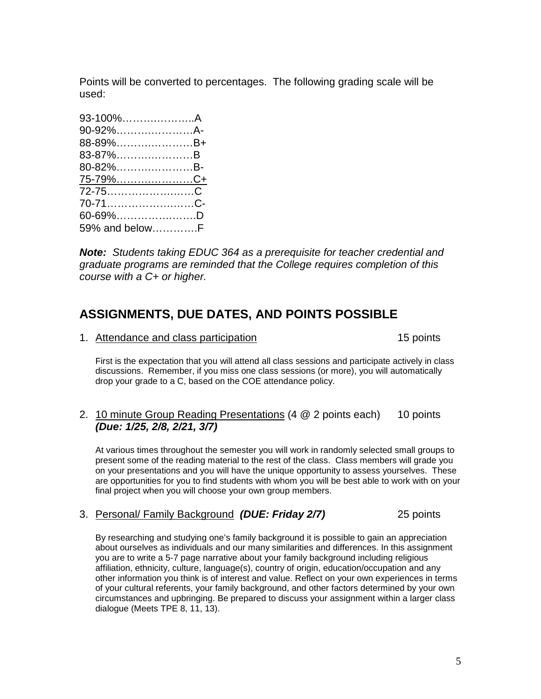Points will be converted to percentages. The following grading scale will be used:

| 93-100%A        |  |
|-----------------|--|
| 90-92%A-        |  |
| 88-89%B+        |  |
| 83-87%B         |  |
| 80-82%B-        |  |
|                 |  |
| <u>75-79%C+</u> |  |
|                 |  |
| 70-71C-         |  |
| $60 - 69\%$ D   |  |

*Note: Students taking EDUC 364 as a prerequisite for teacher credential and graduate programs are reminded that the College requires completion of this course with a C+ or higher.*

# **ASSIGNMENTS, DUE DATES, AND POINTS POSSIBLE**

1. Attendance and class participation 15 points

First is the expectation that you will attend all class sessions and participate actively in class discussions. Remember, if you miss one class sessions (or more), you will automatically drop your grade to a C, based on the COE attendance policy.

## 2. 10 minute Group Reading Presentations (4 @ 2 points each) 10 points *(Due: 1/25, 2/8, 2/21, 3/7)*

At various times throughout the semester you will work in randomly selected small groups to present some of the reading material to the rest of the class. Class members will grade you on your presentations and you will have the unique opportunity to assess yourselves. These are opportunities for you to find students with whom you will be best able to work with on your final project when you will choose your own group members.

## 3. Personal/ Family Background *(DUE: Friday 2/7)* 25 points

By researching and studying one's family background it is possible to gain an appreciation about ourselves as individuals and our many similarities and differences. In this assignment you are to write a 5-7 page narrative about your family background including religious affiliation, ethnicity, culture, language(s), country of origin, education/occupation and any other information you think is of interest and value. Reflect on your own experiences in terms of your cultural referents, your family background, and other factors determined by your own circumstances and upbringing. Be prepared to discuss your assignment within a larger class dialogue (Meets TPE 8, 11, 13).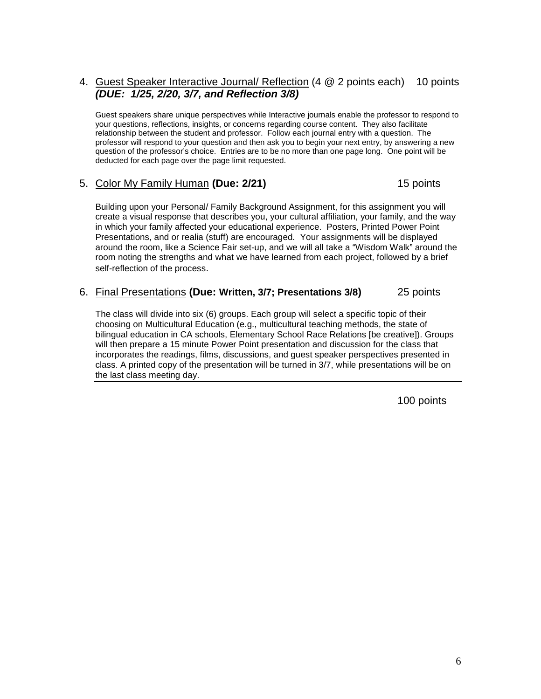## 4. Guest Speaker Interactive Journal/ Reflection (4 @ 2 points each) 10 points *(DUE: 1/25, 2/20, 3/7, and Reflection 3/8)*

Guest speakers share unique perspectives while Interactive journals enable the professor to respond to your questions, reflections, insights, or concerns regarding course content. They also facilitate relationship between the student and professor. Follow each journal entry with a question. The professor will respond to your question and then ask you to begin your next entry, by answering a new question of the professor's choice. Entries are to be no more than one page long. One point will be deducted for each page over the page limit requested.

### 5. Color My Family Human **(Due: 2/21)** 15 points

Building upon your Personal/ Family Background Assignment, for this assignment you will create a visual response that describes you, your cultural affiliation, your family, and the way in which your family affected your educational experience. Posters, Printed Power Point Presentations, and or realia (stuff) are encouraged. Your assignments will be displayed around the room, like a Science Fair set-up, and we will all take a "Wisdom Walk" around the room noting the strengths and what we have learned from each project, followed by a brief self-reflection of the process.

#### 6. Final Presentations **(Due: Written, 3/7; Presentations 3/8)** 25 points

The class will divide into six (6) groups. Each group will select a specific topic of their choosing on Multicultural Education (e.g., multicultural teaching methods, the state of bilingual education in CA schools, Elementary School Race Relations [be creative]). Groups will then prepare a 15 minute Power Point presentation and discussion for the class that incorporates the readings, films, discussions, and guest speaker perspectives presented in class. A printed copy of the presentation will be turned in 3/7, while presentations will be on the last class meeting day.

100 points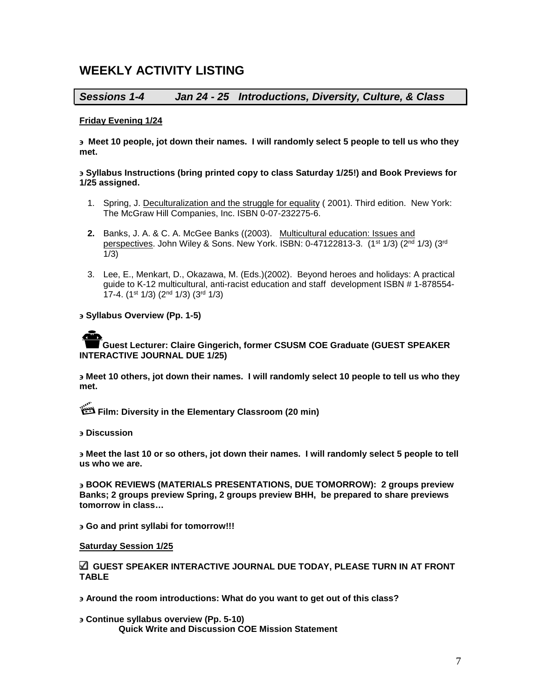# **WEEKLY ACTIVITY LISTING**

## *Sessions 1-4 Jan 24 - 25 Introductions, Diversity, Culture, & Class*

#### **Friday Evening 1/24**

∋ **Meet 10 people, jot down their names. I will randomly select 5 people to tell us who they met.** 

#### ∋ **Syllabus Instructions (bring printed copy to class Saturday 1/25!) and Book Previews for 1/25 assigned.**

- 1. Spring, J. Deculturalization and the struggle for equality (2001). Third edition. New York: The McGraw Hill Companies, Inc. ISBN 0-07-232275-6.
- **2.** Banks, J. A. & C. A. McGee Banks ((2003). Multicultural education: Issues and perspectives. John Wiley & Sons. New York. ISBN: 0-47122813-3. (1<sup>st 1</sup>/3) (2<sup>nd</sup> 1/3) (3<sup>rd</sup> 1/3)
- 3. Lee, E., Menkart, D., Okazawa, M. (Eds.)(2002). Beyond heroes and holidays: A practical guide to K-12 multicultural, anti-racist education and staff development ISBN # 1-878554- 17-4. (1st 1/3) (2nd 1/3) (3rd 1/3)

#### ∋ **Syllabus Overview (Pp. 1-5)**

## **Guest Lecturer: Claire Gingerich, former CSUSM COE Graduate (GUEST SPEAKER INTERACTIVE JOURNAL DUE 1/25)**

∋ **Meet 10 others, jot down their names. I will randomly select 10 people to tell us who they met.**

**Film: Diversity in the Elementary Classroom (20 min)**

∋ **Discussion**

∋ **Meet the last 10 or so others, jot down their names. I will randomly select 5 people to tell us who we are.**

∋ **BOOK REVIEWS (MATERIALS PRESENTATIONS, DUE TOMORROW): 2 groups preview Banks; 2 groups preview Spring, 2 groups preview BHH, be prepared to share previews tomorrow in class…**

∋ **Go and print syllabi for tomorrow!!!**

#### **Saturday Session 1/25**

**GUEST SPEAKER INTERACTIVE JOURNAL DUE TODAY, PLEASE TURN IN AT FRONT TABLE**

∋ **Around the room introductions: What do you want to get out of this class?**

∋ **Continue syllabus overview (Pp. 5-10) Quick Write and Discussion COE Mission Statement**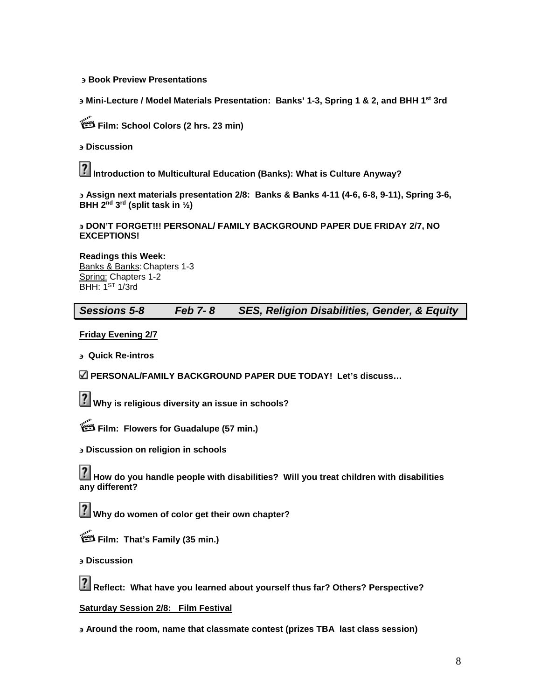#### ∋ **Book Preview Presentations**

∋ **Mini-Lecture / Model Materials Presentation: Banks' 1-3, Spring 1 & 2, and BHH 1st 3rd** 

**Film: School Colors (2 hrs. 23 min)**

∋ **Discussion**

12 **Introduction to Multicultural Education (Banks): What is Culture Anyway?**

∋ **Assign next materials presentation 2/8: Banks & Banks 4-11 (4-6, 6-8, 9-11), Spring 3-6, BHH 2nd 3rd (split task in ½)**

∋ **DON'T FORGET!!! PERSONAL/ FAMILY BACKGROUND PAPER DUE FRIDAY 2/7, NO EXCEPTIONS!**

**Readings this Week:** Banks & Banks:Chapters 1-3 Spring: Chapters 1-2 **BHH: 1ST 1/3rd** 

*Sessions 5-8 Feb 7- 8 SES, Religion Disabilities, Gender, & Equity*

**Friday Evening 2/7**

∋ **Quick Re-intros**

**PERSONAL/FAMILY BACKGROUND PAPER DUE TODAY! Let's discuss…**

**Why is religious diversity an issue in schools?**

**Film: Flowers for Guadalupe (57 min.)**

∋ **Discussion on religion in schools**

И **How do you handle people with disabilities? Will you treat children with disabilities any different?**

12 **Why do women of color get their own chapter?**

**Film: That's Family (35 min.)**

∋ **Discussion**

**Reflect: What have you learned about yourself thus far? Others? Perspective?**

**Saturday Session 2/8: Film Festival** 

∋ **Around the room, name that classmate contest (prizes TBA last class session)**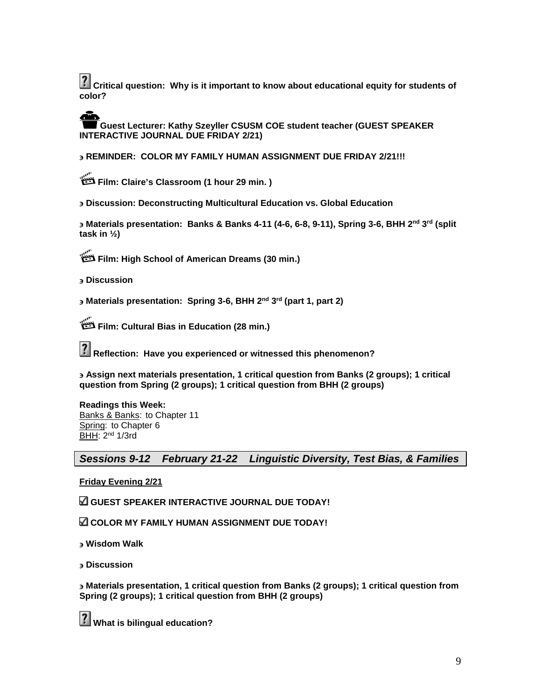**Critical question: Why is it important to know about educational equity for students of color?**

**Guest Lecturer: Kathy Szeyller CSUSM COE student teacher (GUEST SPEAKER INTERACTIVE JOURNAL DUE FRIDAY 2/21)**

∋ **REMINDER: COLOR MY FAMILY HUMAN ASSIGNMENT DUE FRIDAY 2/21!!!**

**Film: Claire's Classroom (1 hour 29 min. )** 

∋ **Discussion: Deconstructing Multicultural Education vs. Global Education**

∋ **Materials presentation: Banks & Banks 4-11 (4-6, 6-8, 9-11), Spring 3-6, BHH 2nd 3rd (split task in ½)**

**Film: High School of American Dreams (30 min.)**

∋ **Discussion**

∋ **Materials presentation: Spring 3-6, BHH 2nd 3rd (part 1, part 2)**

**Film: Cultural Bias in Education (28 min.)**

**Reflection: Have you experienced or witnessed this phenomenon?**

∋ **Assign next materials presentation, 1 critical question from Banks (2 groups); 1 critical question from Spring (2 groups); 1 critical question from BHH (2 groups)**

**Readings this Week:** Banks & Banks: to Chapter 11 Spring: to Chapter 6 BHH: 2nd 1/3rd

*Sessions 9-12 February 21-22 Linguistic Diversity, Test Bias, & Families*

#### **Friday Evening 2/21**

**GUEST SPEAKER INTERACTIVE JOURNAL DUE TODAY!** 

**COLOR MY FAMILY HUMAN ASSIGNMENT DUE TODAY!**

∋ **Wisdom Walk**

∋ **Discussion**

∋ **Materials presentation, 1 critical question from Banks (2 groups); 1 critical question from Spring (2 groups); 1 critical question from BHH (2 groups)**

**What is bilingual education?**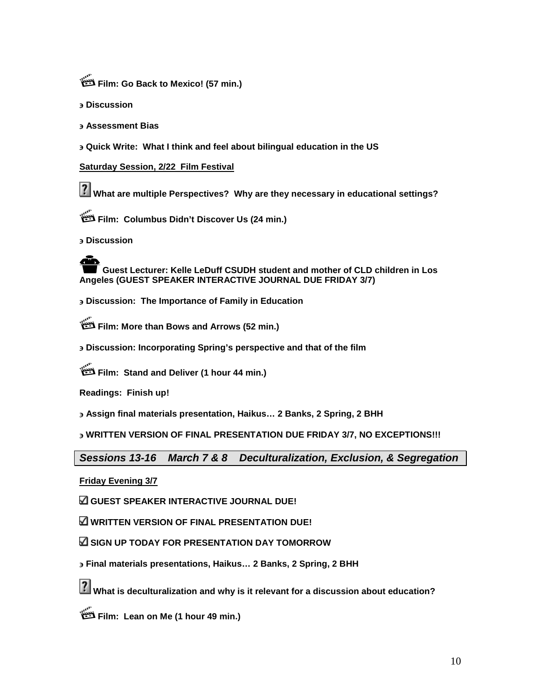**Film: Go Back to Mexico! (57 min.)**

∋ **Discussion**

∋ **Assessment Bias**

∋ **Quick Write: What I think and feel about bilingual education in the US**

#### **Saturday Session, 2/22 Film Festival**

**What are multiple Perspectives? Why are they necessary in educational settings?**

**Film: Columbus Didn't Discover Us (24 min.)**

∋ **Discussion**

**Guest Lecturer: Kelle LeDuff CSUDH student and mother of CLD children in Los Angeles (GUEST SPEAKER INTERACTIVE JOURNAL DUE FRIDAY 3/7)**

∋ **Discussion: The Importance of Family in Education** 

**Film: More than Bows and Arrows (52 min.)**

∋ **Discussion: Incorporating Spring's perspective and that of the film** 

**Film: Stand and Deliver (1 hour 44 min.)**

**Readings: Finish up!** 

∋ **Assign final materials presentation, Haikus… 2 Banks, 2 Spring, 2 BHH**

∋ **WRITTEN VERSION OF FINAL PRESENTATION DUE FRIDAY 3/7, NO EXCEPTIONS!!!**

*Sessions 13-16 March 7 & 8 Deculturalization, Exclusion, & Segregation* 

**Friday Evening 3/7**

**GUEST SPEAKER INTERACTIVE JOURNAL DUE!**

**WRITTEN VERSION OF FINAL PRESENTATION DUE!**

**SIGN UP TODAY FOR PRESENTATION DAY TOMORROW**

∋ **Final materials presentations, Haikus… 2 Banks, 2 Spring, 2 BHH**

**What is deculturalization and why is it relevant for a discussion about education?**

**Film: Lean on Me (1 hour 49 min.)**